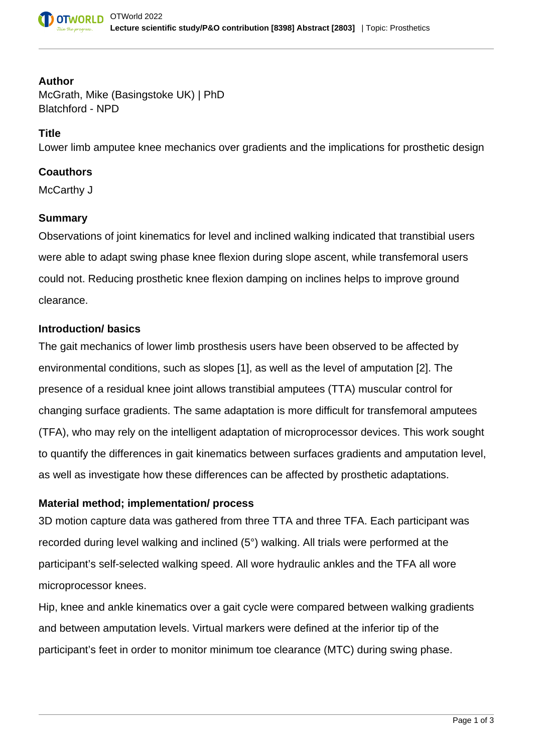

#### **Author**

McGrath, Mike (Basingstoke UK) | PhD Blatchford - NPD

### **Title**

Lower limb amputee knee mechanics over gradients and the implications for prosthetic design

## **Coauthors**

McCarthy J

### **Summary**

Observations of joint kinematics for level and inclined walking indicated that transtibial users were able to adapt swing phase knee flexion during slope ascent, while transfemoral users could not. Reducing prosthetic knee flexion damping on inclines helps to improve ground clearance.

## **Introduction/ basics**

The gait mechanics of lower limb prosthesis users have been observed to be affected by environmental conditions, such as slopes [1], as well as the level of amputation [2]. The presence of a residual knee joint allows transtibial amputees (TTA) muscular control for changing surface gradients. The same adaptation is more difficult for transfemoral amputees (TFA), who may rely on the intelligent adaptation of microprocessor devices. This work sought to quantify the differences in gait kinematics between surfaces gradients and amputation level, as well as investigate how these differences can be affected by prosthetic adaptations.

#### **Material method; implementation/ process**

3D motion capture data was gathered from three TTA and three TFA. Each participant was recorded during level walking and inclined (5°) walking. All trials were performed at the participant's self-selected walking speed. All wore hydraulic ankles and the TFA all wore microprocessor knees.

Hip, knee and ankle kinematics over a gait cycle were compared between walking gradients and between amputation levels. Virtual markers were defined at the inferior tip of the participant's feet in order to monitor minimum toe clearance (MTC) during swing phase.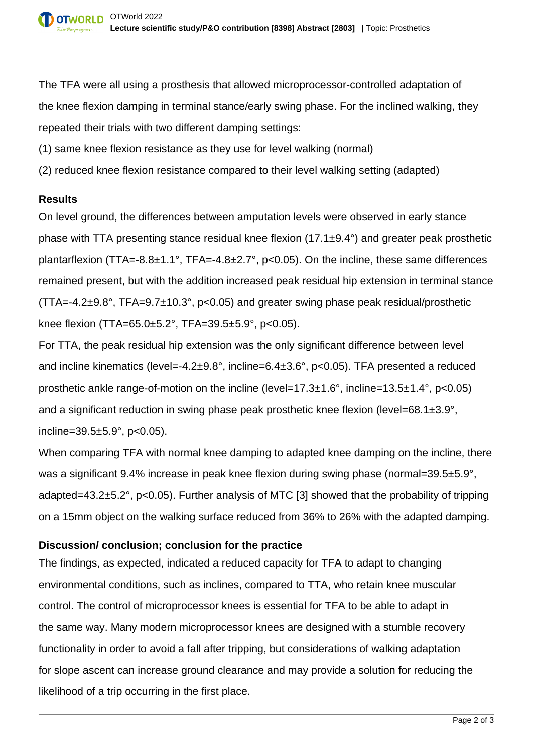The TFA were all using a prosthesis that allowed microprocessor-controlled adaptation of the knee flexion damping in terminal stance/early swing phase. For the inclined walking, they repeated their trials with two different damping settings:

- (1) same knee flexion resistance as they use for level walking (normal)
- (2) reduced knee flexion resistance compared to their level walking setting (adapted)

# **Results**

On level ground, the differences between amputation levels were observed in early stance phase with TTA presenting stance residual knee flexion (17.1±9.4°) and greater peak prosthetic plantarflexion (TTA=-8.8±1.1°, TFA=-4.8±2.7°, p<0.05). On the incline, these same differences remained present, but with the addition increased peak residual hip extension in terminal stance (TTA=-4.2±9.8°, TFA=9.7±10.3°, p<0.05) and greater swing phase peak residual/prosthetic knee flexion (TTA=65.0±5.2°, TFA=39.5±5.9°, p<0.05).

For TTA, the peak residual hip extension was the only significant difference between level and incline kinematics (level=-4.2±9.8°, incline=6.4±3.6°, p<0.05). TFA presented a reduced prosthetic ankle range-of-motion on the incline (level=17.3±1.6°, incline=13.5±1.4°, p<0.05) and a significant reduction in swing phase peak prosthetic knee flexion (level=68.1±3.9°, incline=39.5±5.9°, p<0.05).

When comparing TFA with normal knee damping to adapted knee damping on the incline, there was a significant 9.4% increase in peak knee flexion during swing phase (normal=39.5±5.9°, adapted=43.2±5.2°, p<0.05). Further analysis of MTC [3] showed that the probability of tripping on a 15mm object on the walking surface reduced from 36% to 26% with the adapted damping.

# **Discussion/ conclusion; conclusion for the practice**

The findings, as expected, indicated a reduced capacity for TFA to adapt to changing environmental conditions, such as inclines, compared to TTA, who retain knee muscular control. The control of microprocessor knees is essential for TFA to be able to adapt in the same way. Many modern microprocessor knees are designed with a stumble recovery functionality in order to avoid a fall after tripping, but considerations of walking adaptation for slope ascent can increase ground clearance and may provide a solution for reducing the likelihood of a trip occurring in the first place.